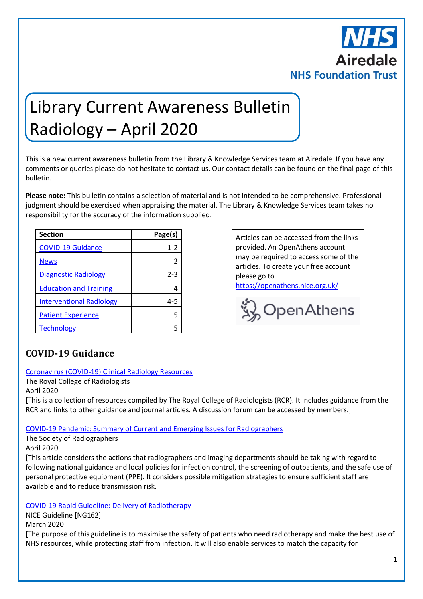

# Library Current Awareness Bulletin Radiology – April 2020

This is a new current awareness bulletin from the Library & Knowledge Services team at Airedale. If you have any comments or queries please do not hesitate to contact us. Our contact details can be found on the final page of this bulletin.

**Please note:** This bulletin contains a selection of material and is not intended to be comprehensive. Professional judgment should be exercised when appraising the material. The Library & Knowledge Services team takes no responsibility for the accuracy of the information supplied.

| <b>Section</b>                  | Page(s) |
|---------------------------------|---------|
| <b>COVID-19 Guidance</b>        | $1 - 2$ |
| <b>News</b>                     | 2       |
| <b>Diagnostic Radiology</b>     | 2-3     |
| <b>Education and Training</b>   |         |
| <b>Interventional Radiology</b> | 4-5     |
| <b>Patient Experience</b>       |         |
| <b>Technology</b>               |         |

**Section Page(s)** Empty cell Articles can be accessed from the links provided. An OpenAthens account may be required to access some of the articles. To create your free account please go to

<https://openathens.nice.org.uk/>



## <span id="page-0-0"></span>**COVID-19 Guidance**

#### [Coronavirus \(COVID-19\) Clinical Radiology Resources](https://www.rcr.ac.uk/college/coronavirus-covid-19-what-rcr-doing/clinical-information/coronavirus-covid-19-clinical-0)

The Royal College of Radiologists April 2020

[This is a collection of resources compiled by The Royal College of Radiologists (RCR). It includes guidance from the RCR and links to other guidance and journal articles. A discussion forum can be accessed by members.]

#### [COVID-19 Pandemic: Summary of Current and Emerging Issues for Radiographers](https://www.sor.org/news/covid-19-pandemic-summary-current-and-emerging-issues-radiographers)

The Society of Radiographers

April 2020

[This article considers the actions that radiographers and imaging departments should be taking with regard to following national guidance and local policies for infection control, the screening of outpatients, and the safe use of personal protective equipment (PPE). It considers possible mitigation strategies to ensure sufficient staff are available and to reduce transmission risk.

#### COVID-19 Rapid [Guideline: Delivery of Radiotherapy](https://www.nice.org.uk/guidance/ng162)

NICE Guideline [NG162]

March 2020

[The purpose of this guideline is to maximise the safety of patients who need radiotherapy and make the best use of NHS resources, while protecting staff from infection. It will also enable services to match the capacity for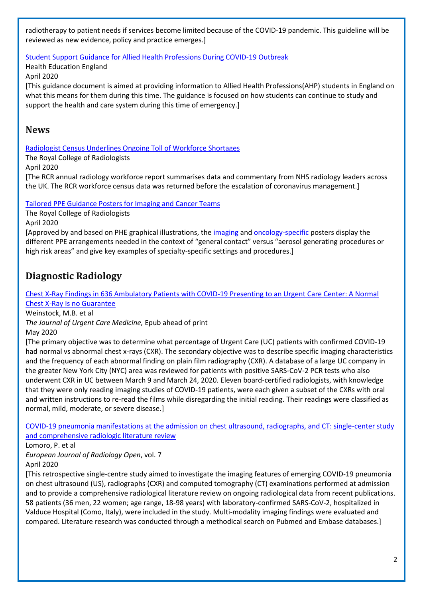radiotherapy to patient needs if services become limited because of the COVID-19 pandemic. This guideline will be reviewed as new evidence, policy and practice emerges.]

Student Support [Guidance for Allied Health Professions During COVID-19 Outbreak](https://www.hee.nhs.uk/coronavirus-covid-19/coronavirus-covid-19-information-ahps)

Health Education England

April 2020

[This guidance document is aimed at providing information to Allied Health Professions(AHP) students in England on what this means for them during this time. The guidance is focused on how students can continue to study and support the health and care system during this time of emergency.]

### <span id="page-1-0"></span>**News**

[Radiologist Census Underlines Ongoing Toll of Workforce Shortages](https://www.rcr.ac.uk/posts/radiologist-census-underlines-ongoing-toll-workforce-shortages-0)

The Royal College of Radiologists

April 2020

[The RCR annual radiology workforce report summarises data and commentary from NHS radiology leaders across the UK. The RCR workforce census data was returned before the escalation of coronavirus management.]

#### [Tailored PPE Guidance Posters for Imaging and Cancer Teams](https://www.rcr.ac.uk/posts/tailored-ppe-guidance-posters-imaging-and-cancer-teams)

The Royal College of Radiologists

April 2020

[Approved by and based on PHE graphical illustrations, the [imaging](https://www.rcr.ac.uk/sites/default/files/radiology_ppe_poster_a3.pdf) an[d oncology-specific](https://www.rcr.ac.uk/sites/default/files/oncology_ppe_poster_a3.pdf) posters display the different PPE arrangements needed in the context of "general contact" versus "aerosol generating procedures or high risk areas" and give key examples of specialty-specific settings and procedures.]

## <span id="page-1-1"></span>**Diagnostic Radiology**

[Chest X-Ray Findings in 636 Ambulatory Patients with COVID-19 Presenting to an Urgent Care Center: A Normal](https://www.jucm.com/documents/jucm-covid-19-studyepub-april-2020.pdf/)  [Chest X-Ray Is no Guarantee](https://www.jucm.com/documents/jucm-covid-19-studyepub-april-2020.pdf/)

Weinstock, M.B. et al

*The Journal of Urgent Care Medicine,* Epub ahead of print May 2020

[The primary objective was to determine what percentage of Urgent Care (UC) patients with confirmed COVID-19 had normal vs abnormal chest x-rays (CXR). The secondary objective was to describe specific imaging characteristics and the frequency of each abnormal finding on plain film radiography (CXR). A database of a large UC company in the greater New York City (NYC) area was reviewed for patients with positive SARS-CoV-2 PCR tests who also underwent CXR in UC between March 9 and March 24, 2020. Eleven board-certified radiologists, with knowledge that they were only reading imaging studies of COVID-19 patients, were each given a subset of the CXRs with oral and written instructions to re-read the films while disregarding the initial reading. Their readings were classified as normal, mild, moderate, or severe disease.]

[COVID-19 pneumonia manifestations at the admission on chest ultrasound, radiographs, and CT: single-center study](https://www.ncbi.nlm.nih.gov/pmc/articles/PMC7129441/)  [and comprehensive radiologic literature review](https://www.ncbi.nlm.nih.gov/pmc/articles/PMC7129441/)

Lomoro, P. et al

*European Journal of Radiology Open*, vol. 7

April 2020

[This retrospective single-centre study aimed to investigate the imaging features of emerging COVID-19 pneumonia on chest ultrasound (US), radiographs (CXR) and computed tomography (CT) examinations performed at admission and to provide a comprehensive radiological literature review on ongoing radiological data from recent publications. 58 patients (36 men, 22 women; age range, 18-98 years) with laboratory-confirmed SARS-CoV-2, hospitalized in Valduce Hospital (Como, Italy), were included in the study. Multi-modality imaging findings were evaluated and compared. Literature research was conducted through a methodical search on Pubmed and Embase databases.]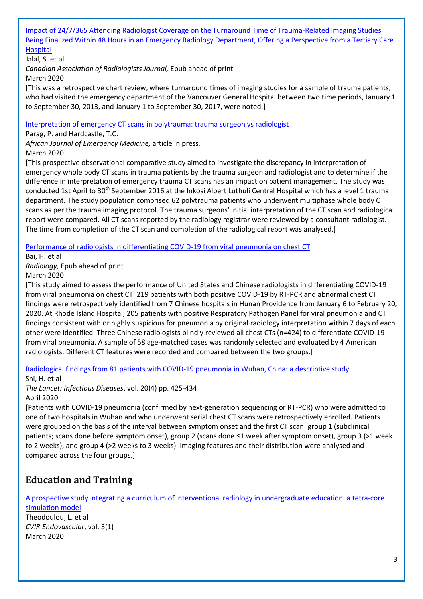#### [Impact of 24/7/365 Attending Radiologist Coverage on the Turnaround Time of Trauma-Related Imaging Studies](https://www.ncbi.nlm.nih.gov/pubmed/32157902)  [Being Finalized Within 48 Hours in an Emergency Radiology Department, Offering a Perspective from a Tertiary Care](https://www.ncbi.nlm.nih.gov/pubmed/32157902)  [Hospital](https://www.ncbi.nlm.nih.gov/pubmed/32157902)

#### Jalal, S. et al

*Canadian Association of Radiologists Journal,* Epub ahead of print

March 2020

[This was a retrospective chart review, where turnaround times of imaging studies for a sample of trauma patients, who had visited the emergency department of the Vancouver General Hospital between two time periods, January 1 to September 30, 2013, and January 1 to September 30, 2017, were noted.]

#### [Interpretation of emergency CT scans in polytrauma: trauma surgeon vs radiologist](https://www.sciencedirect.com/science/article/pii/S2211419X20300094?via%3Dihub)

Parag, P. and Hardcastle, T.C.

*African Journal of Emergency Medicine,* article in press*.*

#### March 2020

[This prospective observational comparative study aimed to investigate the discrepancy in interpretation of emergency whole body CT scans in trauma patients by the trauma surgeon and radiologist and to determine if the difference in interpretation of emergency trauma CT scans has an impact on patient management. The study was conducted 1st April to 30<sup>th</sup> September 2016 at the Inkosi Albert Luthuli Central Hospital which has a level 1 trauma department. The study population comprised 62 polytrauma patients who underwent multiphase whole body CT scans as per the trauma imaging protocol. The trauma surgeons' initial interpretation of the CT scan and radiological report were compared. All CT scans reported by the radiology registrar were reviewed by a consultant radiologist. The time from completion of the CT scan and completion of the radiological report was analysed.]

[Performance of radiologists in differentiating COVID-19 from viral pneumonia on chest CT](https://www.ncbi.nlm.nih.gov/pubmed/32155105)

Bai, H. et al

*Radiology,* Epub ahead of print

March 2020

[This study aimed to assess the performance of United States and Chinese radiologists in differentiating COVID-19 from viral pneumonia on chest CT. 219 patients with both positive COVID-19 by RT-PCR and abnormal chest CT findings were retrospectively identified from 7 Chinese hospitals in Hunan Providence from January 6 to February 20, 2020. At Rhode Island Hospital, 205 patients with positive Respiratory Pathogen Panel for viral pneumonia and CT findings consistent with or highly suspicious for pneumonia by original radiology interpretation within 7 days of each other were identified. Three Chinese radiologists blindly reviewed all chest CTs (n=424) to differentiate COVID-19 from viral pneumonia. A sample of 58 age-matched cases was randomly selected and evaluated by 4 American radiologists. Different CT features were recorded and compared between the two groups.]

[Radiological findings from 81 patients with COVID-19 pneumonia in Wuhan, China: a descriptive study](https://www.ncbi.nlm.nih.gov/pubmed/32105637)

Shi, H. et al

*The Lancet: Infectious Diseases*, vol. 20(4) pp. 425-434 April 2020

[Patients with COVID-19 pneumonia (confirmed by next-generation sequencing or RT-PCR) who were admitted to one of two hospitals in Wuhan and who underwent serial chest CT scans were retrospectively enrolled. Patients were grouped on the basis of the interval between symptom onset and the first CT scan: group 1 (subclinical patients; scans done before symptom onset), group 2 (scans done ≤1 week after symptom onset), group 3 (>1 week to 2 weeks), and group 4 (>2 weeks to 3 weeks). Imaging features and their distribution were analysed and compared across the four groups.]

## <span id="page-2-0"></span>**Education and Training**

[A prospective study integrating a curriculum of interventional radiology in undergraduate education: a tetra-core](https://cvirendovasc.springeropen.com/articles/10.1186/s42155-020-0104-y)  [simulation model](https://cvirendovasc.springeropen.com/articles/10.1186/s42155-020-0104-y)

Theodoulou, L. et al *CVIR Endovascular*, vol. 3(1) March 2020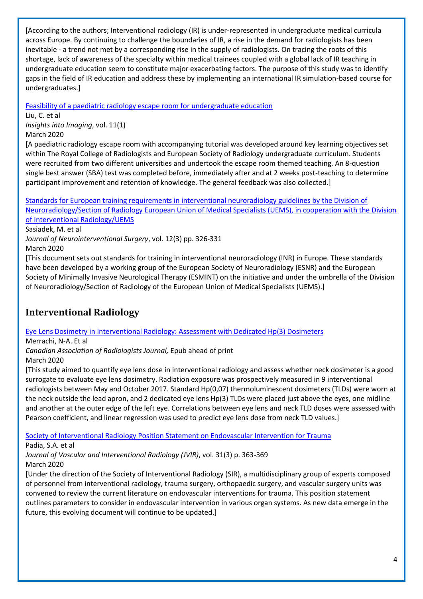[According to the authors; Interventional radiology (IR) is under-represented in undergraduate medical curricula across Europe. By continuing to challenge the boundaries of IR, a rise in the demand for radiologists has been inevitable - a trend not met by a corresponding rise in the supply of radiologists. On tracing the roots of this shortage, lack of awareness of the specialty within medical trainees coupled with a global lack of IR teaching in undergraduate education seem to constitute major exacerbating factors. The purpose of this study was to identify gaps in the field of IR education and address these by implementing an international IR simulation-based course for undergraduates.]

Feasibility of a paediatric [radiology escape room for undergraduate education](https://insightsimaging.springeropen.com/articles/10.1186/s13244-020-00856-9)

Liu, C. et al *Insights into Imaging*, vol. 11(1) March 2020

[A paediatric radiology escape room with accompanying tutorial was developed around key learning objectives set within The Royal College of Radiologists and European Society of Radiology undergraduate curriculum. Students were recruited from two different universities and undertook the escape room themed teaching. An 8-question single best answer (SBA) test was completed before, immediately after and at 2 weeks post-teaching to determine participant improvement and retention of knowledge. The general feedback was also collected.]

[Standards for European training requirements in interventional neuroradiology guidelines by the Division of](https://www.ncbi.nlm.nih.gov/pubmed/31676960)  [Neuroradiology/Section of Radiology European Union of Medical Specialists \(UEMS\), in cooperation with the Division](https://www.ncbi.nlm.nih.gov/pubmed/31676960)  [of Interventional Radiology/UEMS](https://www.ncbi.nlm.nih.gov/pubmed/31676960)

Sasiadek, M. et al

*Journal of Neurointerventional Surgery*, vol. 12(3) pp. 326-331 March 2020

[This document sets out standards for training in interventional neuroradiology (INR) in Europe. These standards have been developed by a working group of the European Society of Neuroradiology (ESNR) and the European Society of Minimally Invasive Neurological Therapy (ESMINT) on the initiative and under the umbrella of the Division of Neuroradiology/Section of Radiology of the European Union of Medical Specialists (UEMS).]

## <span id="page-3-0"></span>**Interventional Radiology**

Eye Lens Dosimetry [in Interventional Radiology: Assessment with Dedicated Hp\(3\) Dosimeters](https://www.ncbi.nlm.nih.gov/pubmed/32216558)

Merrachi, N-A. Et al

*Canadian Association of Radiologists Journal,* Epub ahead of print March 2020

[This study aimed to quantify eye lens dose in interventional radiology and assess whether neck dosimeter is a good surrogate to evaluate eye lens dosimetry. Radiation exposure was prospectively measured in 9 interventional radiologists between May and October 2017. Standard Hp(0,07) thermoluminescent dosimeters (TLDs) were worn at the neck outside the lead apron, and 2 dedicated eye lens Hp(3) TLDs were placed just above the eyes, one midline and another at the outer edge of the left eye. Correlations between eye lens and neck TLD doses were assessed with Pearson coefficient, and linear regression was used to predict eye lens dose from neck TLD values.]

[Society of Interventional Radiology Position Statement on Endovascular Intervention for Trauma](https://www.jvir.org/article/S1051-0443(19)30952-2/fulltext)

Padia, S.A. et al

*Journal of Vascular and Interventional Radiology (JVIR)*, vol. 31(3) p. 363-369 March 2020

[Under the direction of the Society of Interventional Radiology (SIR), a multidisciplinary group of experts composed of personnel from interventional radiology, trauma surgery, orthopaedic surgery, and vascular surgery units was convened to review the current literature on endovascular interventions for trauma. This position statement outlines parameters to consider in endovascular intervention in various organ systems. As new data emerge in the future, this evolving document will continue to be updated.]